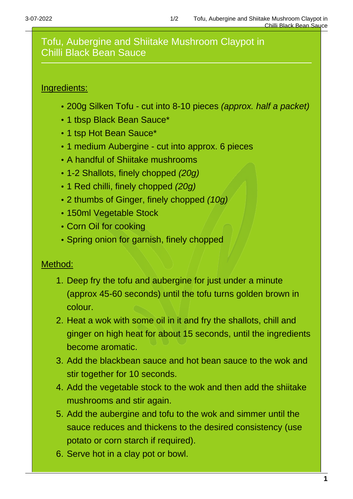## Tofu, Aubergine and Shiitake Mushroom Claypot in Chilli Black Bean Sauce

## Ingredients:

- 200g Silken Tofu cut into 8-10 pieces (approx. half a packet)
- 1 tbsp Black Bean Sauce\*
- 1 tsp Hot Bean Sauce\*
- 1 medium Aubergine cut into approx. 6 pieces
- A handful of Shiitake mushrooms
- 1-2 Shallots, finely chopped (20g)
- 1 Red chilli, finely chopped (20q)
- 2 thumbs of Ginger, finely chopped (10g)
- 150ml Vegetable Stock
- Corn Oil for cooking
- Spring onion for garnish, finely chopped

## Method:

- 1. Deep fry the tofu and aubergine for just under a minute (approx 45-60 seconds) until the tofu turns golden brown in colour.
- 2. Heat a wok with some oil in it and fry the shallots, chill and ginger on high heat for about 15 seconds, until the ingredients become aromatic.
- 3. Add the blackbean sauce and hot bean sauce to the wok and stir together for 10 seconds.
- 4. Add the vegetable stock to the wok and then add the shiitake mushrooms and stir again.
- 5. Add the aubergine and tofu to the wok and simmer until the sauce reduces and thickens to the desired consistency (use potato or corn starch if required).
- 6. Serve hot in a clay pot or bowl.